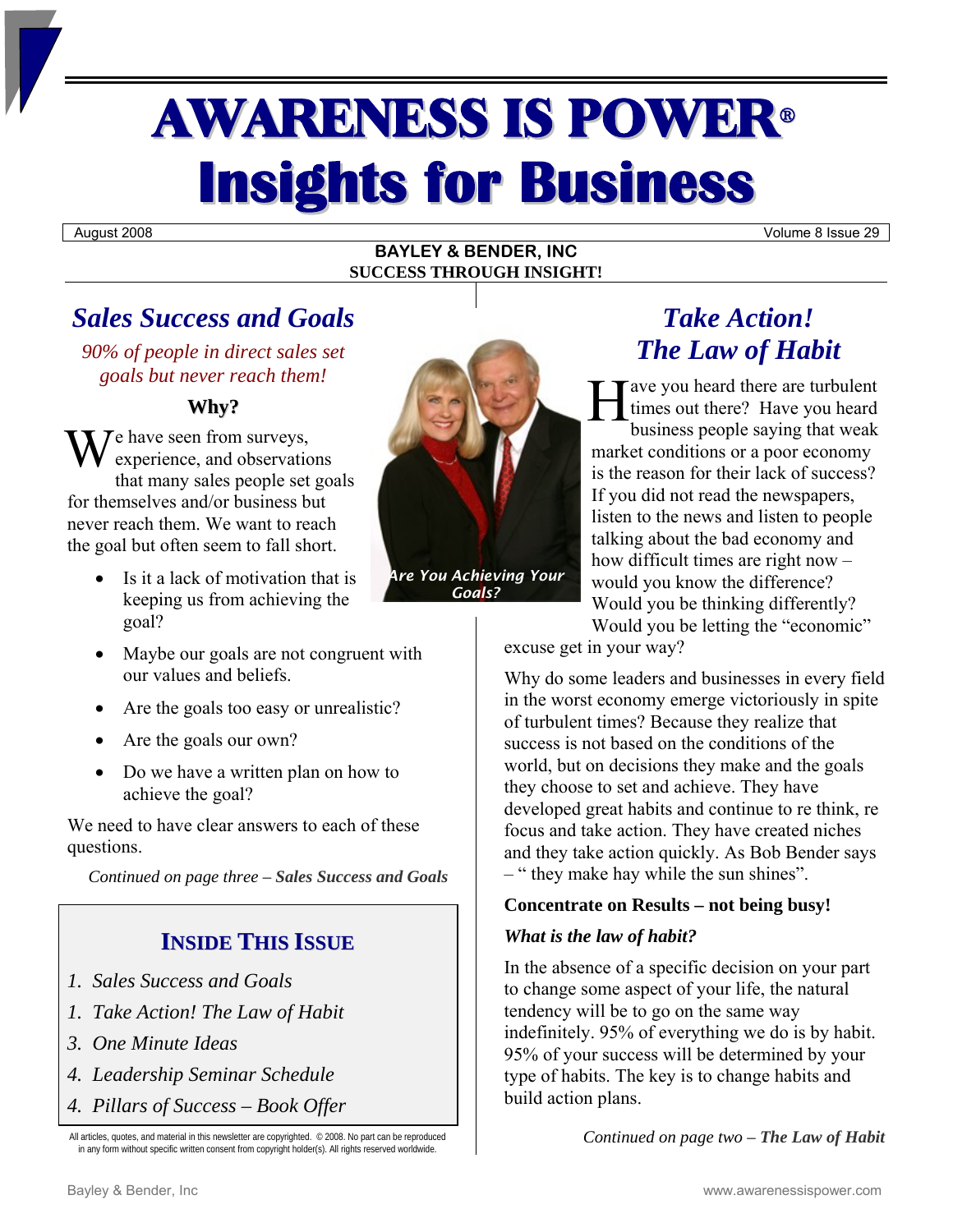# **AWARENESS IS POWER® Insights for Business**

August 2008 **Volume 8** Issue 29

#### **BAYLEY & BENDER, INC SUCCESS THROUGH INSIGHT!**

# *Sales Success and Goals*

*90% of people in direct sales set goals but never reach them!* 

# **Why?**

We have seen from surveys,<br>experience, and observation experience, and observations that many sales people set goals for themselves and/or business but never reach them. We want to reach the goal but often seem to fall short.

- Is it a lack of motivation that is keeping us from achieving the goal?
- Maybe our goals are not congruent with our values and beliefs.
- Are the goals too easy or unrealistic?
- Are the goals our own?
- Do we have a written plan on how to achieve the goal?

We need to have clear answers to each of these questions.

*Continued on page three – Sales Success and Goals* 

# **INSIDE THIS ISSUE**

- *1. Sales Success and Goals*
- *1. Take Action! The Law of Habit*
- *3. One Minute Ideas*
- *4. Leadership Seminar Schedule*
- *4. Pillars of Success Book Offer*

All articles, quotes, and material in this newsletter are copyrighted. © 2008. No part can be reproduced in any form without specific written consent from copyright holder(s). All rights reserved worldwide.



*Goals?* 

# *Take Action! The Law of Habit*

ave you heard there are turbulent times out there? Have you heard business people saying that weak market conditions or a poor economy is the reason for their lack of success? If you did not read the newspapers, listen to the news and listen to people talking about the bad economy and how difficult times are right now – would you know the difference? Would you be thinking differently? Would you be letting the "economic" H

excuse get in your way?

Why do some leaders and businesses in every field in the worst economy emerge victoriously in spite of turbulent times? Because they realize that success is not based on the conditions of the world, but on decisions they make and the goals they choose to set and achieve. They have developed great habits and continue to re think, re focus and take action. They have created niches and they take action quickly. As Bob Bender says – " they make hay while the sun shines".

## **Concentrate on Results – not being busy!**

## *What is the law of habit?*

In the absence of a specific decision on your part to change some aspect of your life, the natural tendency will be to go on the same way indefinitely. 95% of everything we do is by habit. 95% of your success will be determined by your type of habits. The key is to change habits and build action plans.

*Continued on page two – The Law of Habit*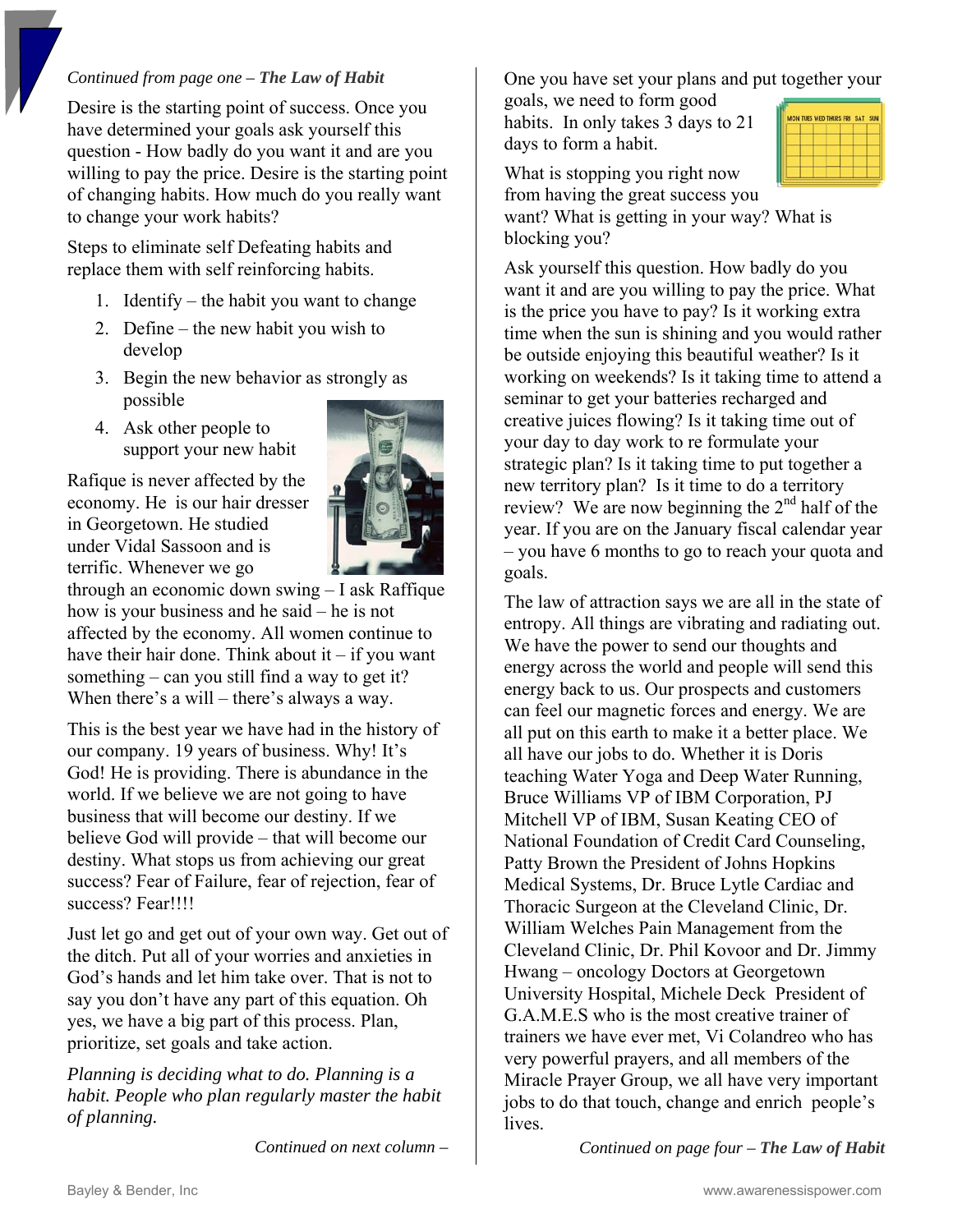#### *Continued from page one – The Law of Habit*

Desire is the starting point of success. Once you have determined your goals ask yourself this question - How badly do you want it and are you willing to pay the price. Desire is the starting point of changing habits. How much do you really want to change your work habits?

Steps to eliminate self Defeating habits and replace them with self reinforcing habits.

- 1. Identify the habit you want to change
- 2. Define the new habit you wish to develop
- 3. Begin the new behavior as strongly as possible
- 4. Ask other people to support your new habit

Rafique is never affected by the economy. He is our hair dresser in Georgetown. He studied under Vidal Sassoon and is terrific. Whenever we go



through an economic down swing – I ask Raffique how is your business and he said – he is not affected by the economy. All women continue to have their hair done. Think about it  $-$  if you want something – can you still find a way to get it? When there's a will – there's always a way.

This is the best year we have had in the history of our company. 19 years of business. Why! It's God! He is providing. There is abundance in the world. If we believe we are not going to have business that will become our destiny. If we believe God will provide – that will become our destiny. What stops us from achieving our great success? Fear of Failure, fear of rejection, fear of success? Fear!!!!

Just let go and get out of your own way. Get out of the ditch. Put all of your worries and anxieties in God's hands and let him take over. That is not to say you don't have any part of this equation. Oh yes, we have a big part of this process. Plan, prioritize, set goals and take action.

*Planning is deciding what to do. Planning is a habit. People who plan regularly master the habit of planning.* 

*Continued on next column –* 

One you have set your plans and put together your

goals, we need to form good habits. In only takes 3 days to 21 days to form a habit.

|  |  | MON TUES WED THURS FRI SAT SUN |  |
|--|--|--------------------------------|--|
|  |  |                                |  |
|  |  |                                |  |
|  |  |                                |  |
|  |  |                                |  |
|  |  |                                |  |

What is stopping you right now from having the great success you

want? What is getting in your way? What is blocking you?

Ask yourself this question. How badly do you want it and are you willing to pay the price. What is the price you have to pay? Is it working extra time when the sun is shining and you would rather be outside enjoying this beautiful weather? Is it working on weekends? Is it taking time to attend a seminar to get your batteries recharged and creative juices flowing? Is it taking time out of your day to day work to re formulate your strategic plan? Is it taking time to put together a new territory plan? Is it time to do a territory review? We are now beginning the  $2<sup>nd</sup>$  half of the year. If you are on the January fiscal calendar year – you have 6 months to go to reach your quota and goals.

The law of attraction says we are all in the state of entropy. All things are vibrating and radiating out. We have the power to send our thoughts and energy across the world and people will send this energy back to us. Our prospects and customers can feel our magnetic forces and energy. We are all put on this earth to make it a better place. We all have our jobs to do. Whether it is Doris teaching Water Yoga and Deep Water Running, Bruce Williams VP of IBM Corporation, PJ Mitchell VP of IBM, Susan Keating CEO of National Foundation of Credit Card Counseling, Patty Brown the President of Johns Hopkins Medical Systems, Dr. Bruce Lytle Cardiac and Thoracic Surgeon at the Cleveland Clinic, Dr. William Welches Pain Management from the Cleveland Clinic, Dr. Phil Kovoor and Dr. Jimmy Hwang – oncology Doctors at Georgetown University Hospital, Michele Deck President of G.A.M.E.S who is the most creative trainer of trainers we have ever met, Vi Colandreo who has very powerful prayers, and all members of the Miracle Prayer Group, we all have very important jobs to do that touch, change and enrich people's lives.

*Continued on page four – The Law of Habit*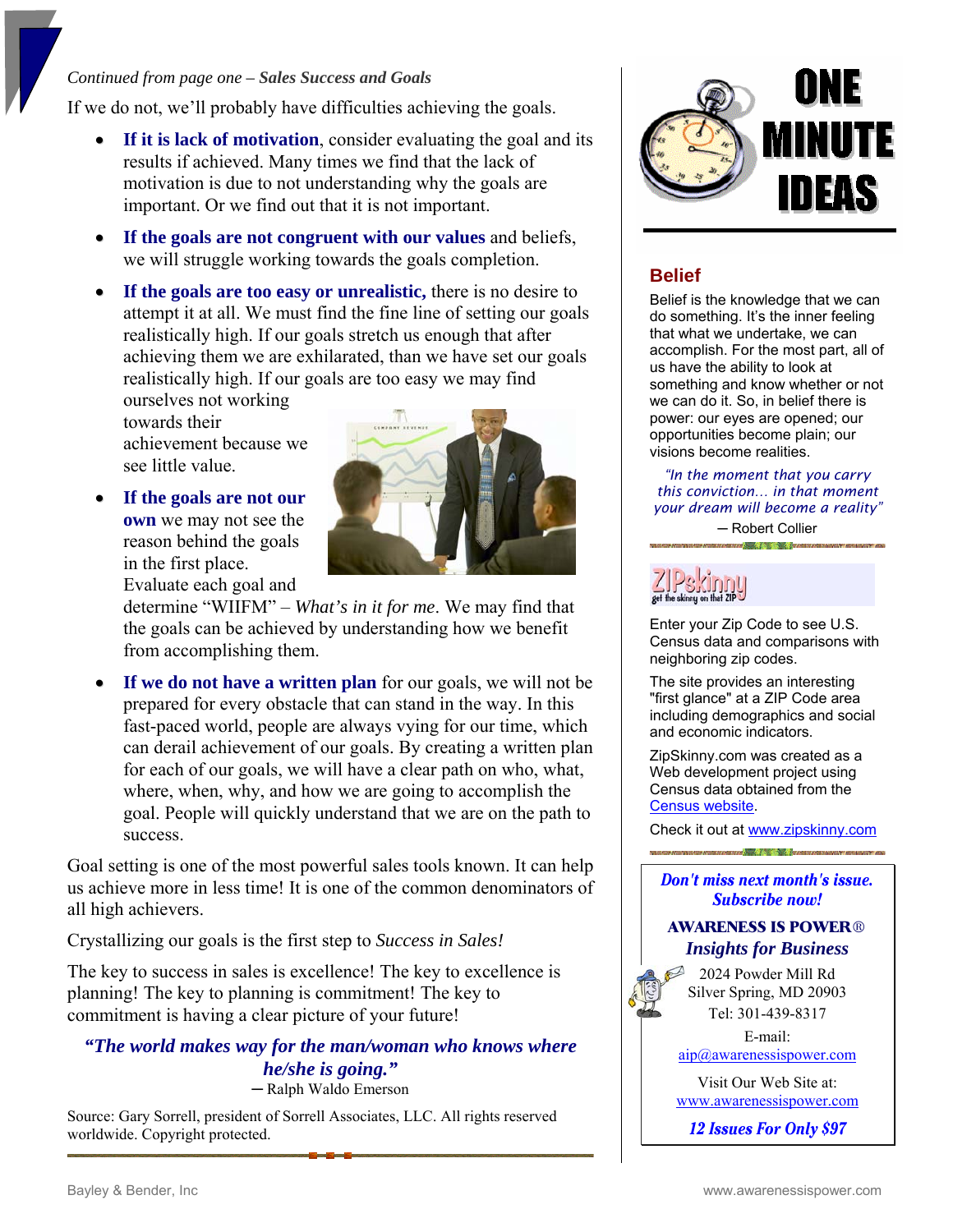#### *Continued from page one – Sales Success and Goals*

If we do not, we'll probably have difficulties achieving the goals.

- **If it is lack of motivation**, consider evaluating the goal and its results if achieved. Many times we find that the lack of motivation is due to not understanding why the goals are important. Or we find out that it is not important.
- **If the goals are not congruent with our values** and beliefs, we will struggle working towards the goals completion.
- **If the goals are too easy or unrealistic,** there is no desire to attempt it at all. We must find the fine line of setting our goals realistically high. If our goals stretch us enough that after achieving them we are exhilarated, than we have set our goals realistically high. If our goals are too easy we may find

ourselves not working towards their achievement because we see little value.

• **If the goals are not our own** we may not see the reason behind the goals in the first place. Evaluate each goal and



determine "WIIFM" – *What's in it for me*. We may find that the goals can be achieved by understanding how we benefit from accomplishing them.

• **If we do not have a written plan** for our goals, we will not be prepared for every obstacle that can stand in the way. In this fast-paced world, people are always vying for our time, which can derail achievement of our goals. By creating a written plan for each of our goals, we will have a clear path on who, what, where, when, why, and how we are going to accomplish the goal. People will quickly understand that we are on the path to success.

Goal setting is one of the most powerful sales tools known. It can help us achieve more in less time! It is one of the common denominators of all high achievers.

Crystallizing our goals is the first step to *Success in Sales!*

The key to success in sales is excellence! The key to excellence is planning! The key to planning is commitment! The key to commitment is having a clear picture of your future!

## *"The world makes way for the man/woman who knows where he/she is going."*

─ Ralph Waldo Emerson

Source: Gary Sorrell, president of Sorrell Associates, LLC. All rights reserved worldwide. Copyright protected.



# **Belief**

Belief is the knowledge that we can do something. It's the inner feeling that what we undertake, we can accomplish. For the most part, all of us have the ability to look at something and know whether or not we can do it. So, in belief there is power: our eyes are opened; our opportunities become plain; our visions become realities.

*"In the moment that you carry this conviction… in that moment your dream will become a reality"*

> ─ Robert Collier a San Africa Charles Barro



Enter your Zip Code to see U.S. Census data and comparisons with neighboring zip codes.

The site provides an interesting "first glance" at a ZIP Code area including demographics and social and economic indicators.

ZipSkinny.com was created as a Web development project using Census data obtained from the [Census website](http://www.census.gov/).

Check it out at [www.zipskinny.com](http://www.zipskinny.com/)

Don't miss next month's issue. **Subscribe now!** 

#### **AWARENESS IS POWER**® *Insights for Business*

2024 Powder Mill Rd Silver Spring, MD 20903 Tel: 301-439-8317

E-mail: [aip@awarenessispower.com](mailto:aip@awarenessispower.com)

Visit Our Web Site at: [www.awarenessispower.com](http://www.awarenessispower.com/)

12 Issues For Only \$97